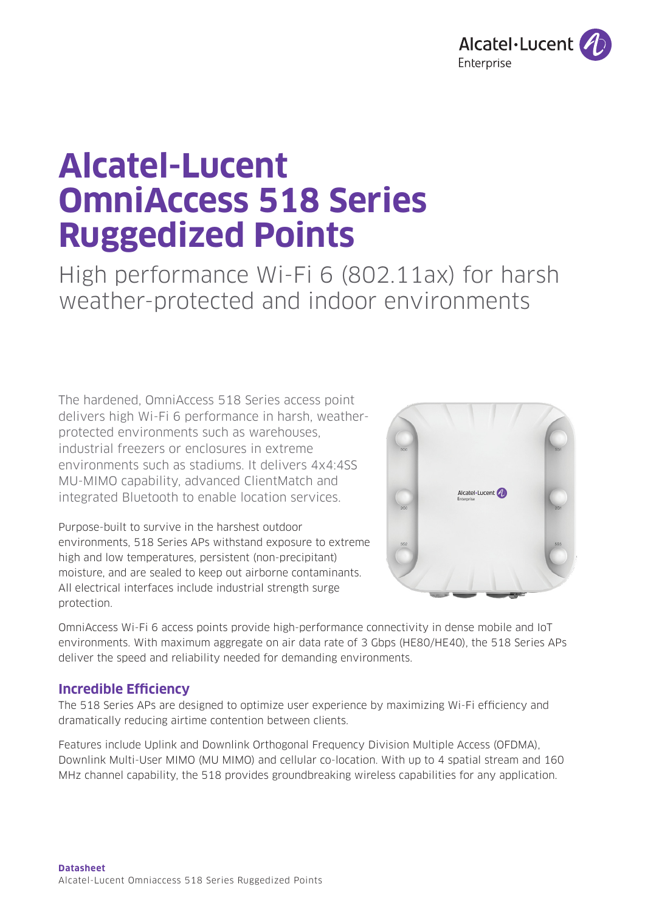

# **Alcatel-Lucent OmniAccess 518 Series Ruggedized Points**

High performance Wi-Fi 6 (802.11ax) for harsh weather-protected and indoor environments

The hardened, OmniAccess 518 Series access point delivers high Wi-Fi 6 performance in harsh, weatherprotected environments such as warehouses, industrial freezers or enclosures in extreme environments such as stadiums. It delivers 4x4:4SS MU-MIMO capability, advanced ClientMatch and integrated Bluetooth to enable location services.

Purpose-built to survive in the harshest outdoor environments, 518 Series APs withstand exposure to extreme high and low temperatures, persistent (non-precipitant) moisture, and are sealed to keep out airborne contaminants. All electrical interfaces include industrial strength surge protection.



OmniAccess Wi-Fi 6 access points provide high-performance connectivity in dense mobile and IoT environments. With maximum aggregate on air data rate of 3 Gbps (HE80/HE40), the 518 Series APs deliver the speed and reliability needed for demanding environments.

# **Incredible Efficiency**

The 518 Series APs are designed to optimize user experience by maximizing Wi-Fi efficiency and dramatically reducing airtime contention between clients.

Features include Uplink and Downlink Orthogonal Frequency Division Multiple Access (OFDMA), Downlink Multi-User MIMO (MU MIMO) and cellular co-location. With up to 4 spatial stream and 160 MHz channel capability, the 518 provides groundbreaking wireless capabilities for any application.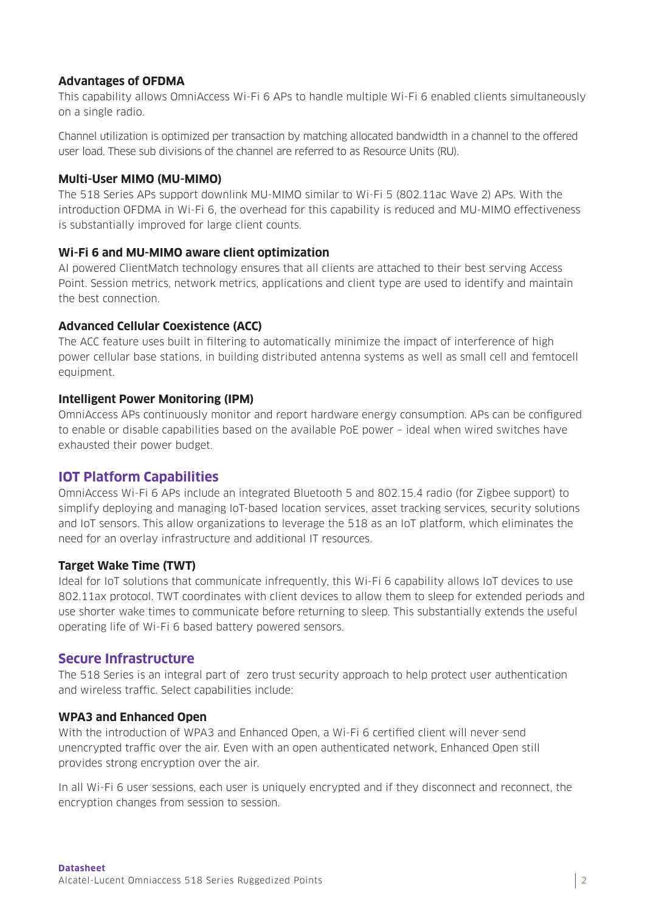#### **Advantages of OFDMA**

This capability allows OmniAccess Wi-Fi 6 APs to handle multiple Wi-Fi 6 enabled clients simultaneously on a single radio.

Channel utilization is optimized per transaction by matching allocated bandwidth in a channel to the offered user load. These sub divisions of the channel are referred to as Resource Units (RU).

## **Multi-User MIMO (MU-MIMO)**

The 518 Series APs support downlink MU-MIMO similar to Wi-Fi 5 (802.11ac Wave 2) APs. With the introduction OFDMA in Wi-Fi 6, the overhead for this capability is reduced and MU-MIMO effectiveness is substantially improved for large client counts.

### **Wi-Fi 6 and MU-MIMO aware client optimization**

AI powered ClientMatch technology ensures that all clients are attached to their best serving Access Point. Session metrics, network metrics, applications and client type are used to identify and maintain the best connection.

### **Advanced Cellular Coexistence (ACC)**

The ACC feature uses built in filtering to automatically minimize the impact of interference of high power cellular base stations, in building distributed antenna systems as well as small cell and femtocell equipment.

### **Intelligent Power Monitoring (IPM)**

OmniAccess APs continuously monitor and report hardware energy consumption. APs can be configured to enable or disable capabilities based on the available PoE power – ideal when wired switches have exhausted their power budget.

## **IOT Platform Capabilities**

OmniAccess Wi-Fi 6 APs include an integrated Bluetooth 5 and 802.15.4 radio (for Zigbee support) to simplify deploying and managing IoT-based location services, asset tracking services, security solutions and IoT sensors. This allow organizations to leverage the 518 as an IoT platform, which eliminates the need for an overlay infrastructure and additional IT resources.

#### **Target Wake Time (TWT)**

Ideal for IoT solutions that communicate infrequently, this Wi-Fi 6 capability allows IoT devices to use 802.11ax protocol. TWT coordinates with client devices to allow them to sleep for extended periods and use shorter wake times to communicate before returning to sleep. This substantially extends the useful operating life of Wi-Fi 6 based battery powered sensors.

## **Secure Infrastructure**

The 518 Series is an integral part of zero trust security approach to help protect user authentication and wireless traffic. Select capabilities include:

#### **WPA3 and Enhanced Open**

With the introduction of WPA3 and Enhanced Open, a Wi-Fi 6 certified client will never send unencrypted traffic over the air. Even with an open authenticated network, Enhanced Open still provides strong encryption over the air.

In all Wi-Fi 6 user sessions, each user is uniquely encrypted and if they disconnect and reconnect, the encryption changes from session to session.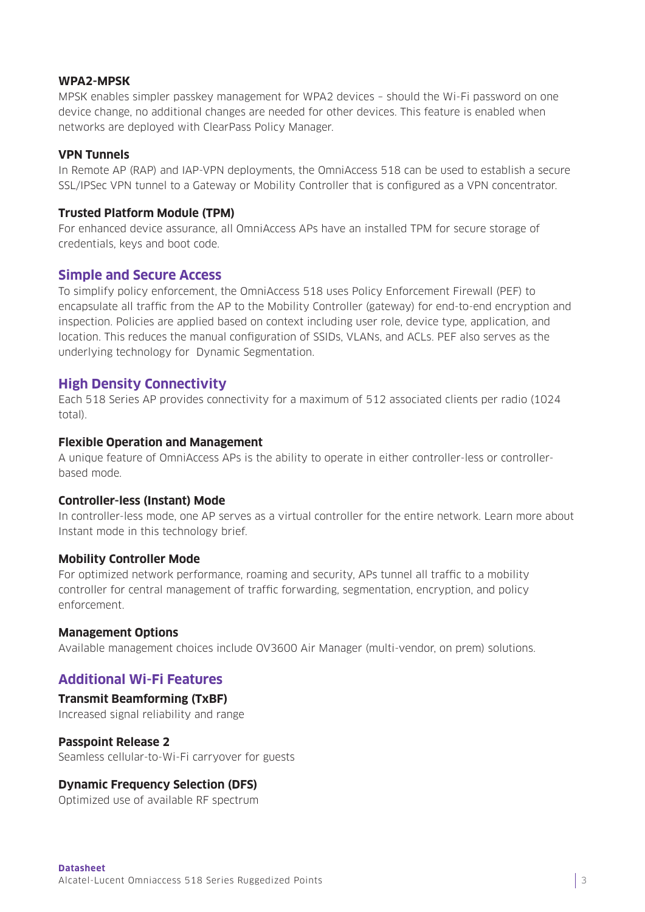#### **WPA2-MPSK**

MPSK enables simpler passkey management for WPA2 devices – should the Wi-Fi password on one device change, no additional changes are needed for other devices. This feature is enabled when networks are deployed with ClearPass Policy Manager.

#### **VPN Tunnels**

In Remote AP (RAP) and IAP-VPN deployments, the OmniAccess 518 can be used to establish a secure SSL/IPSec VPN tunnel to a Gateway or Mobility Controller that is configured as a VPN concentrator.

#### **Trusted Platform Module (TPM)**

For enhanced device assurance, all OmniAccess APs have an installed TPM for secure storage of credentials, keys and boot code.

#### **Simple and Secure Access**

To simplify policy enforcement, the OmniAccess 518 uses Policy Enforcement Firewall (PEF) to encapsulate all traffic from the AP to the Mobility Controller (gateway) for end-to-end encryption and inspection. Policies are applied based on context including user role, device type, application, and location. This reduces the manual configuration of SSIDs, VLANs, and ACLs. PEF also serves as the underlying technology for Dynamic Segmentation.

## **High Density Connectivity**

Each 518 Series AP provides connectivity for a maximum of 512 associated clients per radio (1024 total).

#### **Flexible Operation and Management**

A unique feature of OmniAccess APs is the ability to operate in either controller-less or controllerbased mode.

#### **Controller-less (Instant) Mode**

In controller-less mode, one AP serves as a virtual controller for the entire network. Learn more about Instant mode in this technology brief.

#### **Mobility Controller Mode**

For optimized network performance, roaming and security, APs tunnel all traffic to a mobility controller for central management of traffic forwarding, segmentation, encryption, and policy enforcement.

#### **Management Options**

Available management choices include OV3600 Air Manager (multi-vendor, on prem) solutions.

# **Additional Wi-Fi Features**

## **Transmit Beamforming (TxBF)**

Increased signal reliability and range

#### **Passpoint Release 2**

Seamless cellular-to-Wi-Fi carryover for guests

#### **Dynamic Frequency Selection (DFS)**

Optimized use of available RF spectrum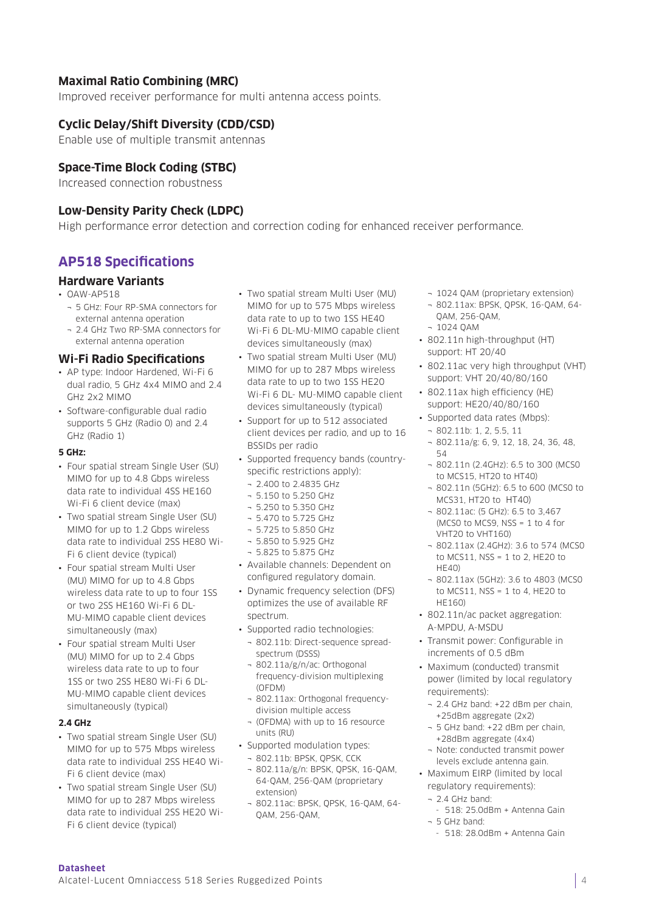### **Maximal Ratio Combining (MRC)**

Improved receiver performance for multi antenna access points.

#### **Cyclic Delay/Shift Diversity (CDD/CSD)**

Enable use of multiple transmit antennas

#### **Space-Time Block Coding (STBC)**

Increased connection robustness

#### **Low-Density Parity Check (LDPC)**

High performance error detection and correction coding for enhanced receiver performance.

# **AP518 Specifications**

#### **Hardware Variants**

- OAW-AP518
	- ¬ 5 GHz: Four RP-SMA connectors for external antenna operation
	- ¬ 2.4 GHz Two RP-SMA connectors for external antenna operation

#### **Wi-Fi Radio Specifications**

- AP type: Indoor Hardened, Wi-Fi 6 dual radio, 5 GHz 4x4 MIMO and 2.4 GHz 2x2 MIMO
- Software-configurable dual radio supports 5 GHz (Radio 0) and 2.4 GHz (Radio 1)

#### **5 GHz:**

- Four spatial stream Single User (SU) MIMO for up to 4.8 Gbps wireless data rate to individual 4SS HE160 Wi-Fi 6 client device (max)
- Two spatial stream Single User (SU) MIMO for up to 1.2 Gbps wireless data rate to individual 2SS HE80 Wi-Fi 6 client device (typical)
- Four spatial stream Multi User (MU) MIMO for up to 4.8 Gbps wireless data rate to up to four 1SS or two 2SS HE160 Wi-Fi 6 DL-MU-MIMO capable client devices simultaneously (max)
- Four spatial stream Multi User (MU) MIMO for up to 2.4 Gbps wireless data rate to up to four 1SS or two 2SS HE80 Wi-Fi 6 DL-MU-MIMO capable client devices simultaneously (typical)

#### **2.4 GHz**

- Two spatial stream Single User (SU) MIMO for up to 575 Mbps wireless data rate to individual 2SS HE40 Wi-Fi 6 client device (max)
- Two spatial stream Single User (SU) MIMO for up to 287 Mbps wireless data rate to individual 2SS HE20 Wi-Fi 6 client device (typical)
- Two spatial stream Multi User (MU) MIMO for up to 575 Mbps wireless data rate to up to two 1SS HE40 Wi-Fi 6 DL-MU-MIMO capable client devices simultaneously (max)
- Two spatial stream Multi User (MU) MIMO for up to 287 Mbps wireless data rate to up to two 1SS HE20 Wi-Fi 6 DL- MU-MIMO capable client devices simultaneously (typical)
- Support for up to 512 associated client devices per radio, and up to 16 BSSIDs per radio
- Supported frequency bands (countryspecific restrictions apply):
	- ¬ 2.400 to 2.4835 GHz
	- ¬ 5.150 to 5.250 GHz
	- ¬ 5.250 to 5.350 GHz
	- ¬ 5.470 to 5.725 GHz
	- ¬ 5.725 to 5.850 GHz
	- ¬ 5.850 to 5.925 GHz
	- ¬ 5.825 to 5.875 GHz
- Available channels: Dependent on configured regulatory domain.
- Dynamic frequency selection (DFS) optimizes the use of available RF spectrum.
- Supported radio technologies:
	- ¬ 802.11b: Direct-sequence spreadspectrum (DSSS)
	- ¬ 802.11a/g/n/ac: Orthogonal frequency-division multiplexing (OFDM)
- ¬ 802.11ax: Orthogonal frequencydivision multiple access
- ¬ (OFDMA) with up to 16 resource units (RU)
- Supported modulation types: ¬ 802.11b: BPSK, QPSK, CCK
	- ¬ 802.11a/g/n: BPSK, QPSK, 16-QAM, 64-QAM, 256-QAM (proprietary extension)
	- ¬ 802.11ac: BPSK, QPSK, 16-QAM, 64- QAM, 256-QAM,
- ¬ 1024 QAM (proprietary extension)
- ¬ 802.11ax: BPSK, QPSK, 16-QAM, 64- QAM, 256-QAM, ¬ 1024 QAM
- 802.11n high-throughput (HT) support: HT 20/40
- 802.11ac very high throughput (VHT) support: VHT 20/40/80/160
- 802.11ax high efficiency (HE) support: HE20/40/80/160
- Supported data rates (Mbps): ¬ 802.11b: 1, 2, 5.5, 11
	- ¬ 802.11a/g: 6, 9, 12, 18, 24, 36, 48, 54
	- ¬ 802.11n (2.4GHz): 6.5 to 300 (MCS0 to MCS15, HT20 to HT40)
	- ¬ 802.11n (5GHz): 6.5 to 600 (MCS0 to MCS31, HT20 to HT40)
	- ¬ 802.11ac: (5 GHz): 6.5 to 3,467 (MCS0 to MCS9, NSS = 1 to 4 for VHT20 to VHT160)
	- ¬ 802.11ax (2.4GHz): 3.6 to 574 (MCS0 to MCS11, NSS = 1 to 2, HE20 to  $HF(40)$
	- ¬ 802.11ax (5GHz): 3.6 to 4803 (MCS0 to MCS11, NSS = 1 to 4, HE20 to HE160)
- 802.11n/ac packet aggregation: A-MPDU, A-MSDU
- Transmit power: Configurable in increments of 0.5 dBm
- Maximum (conducted) transmit power (limited by local regulatory requirements):
	- ¬ 2.4 GHz band: +22 dBm per chain, +25dBm aggregate (2x2)
	- ¬ 5 GHz band: +22 dBm per chain, +28dBm aggregate (4x4)
	- ¬ Note: conducted transmit power levels exclude antenna gain.
- Maximum EIRP (limited by local regulatory requirements):
	- ¬ 2.4 GHz band:
	- 518: 25.0dBm + Antenna Gain ¬ 5 GHz band:
	- 518: 28.0dBm + Antenna Gain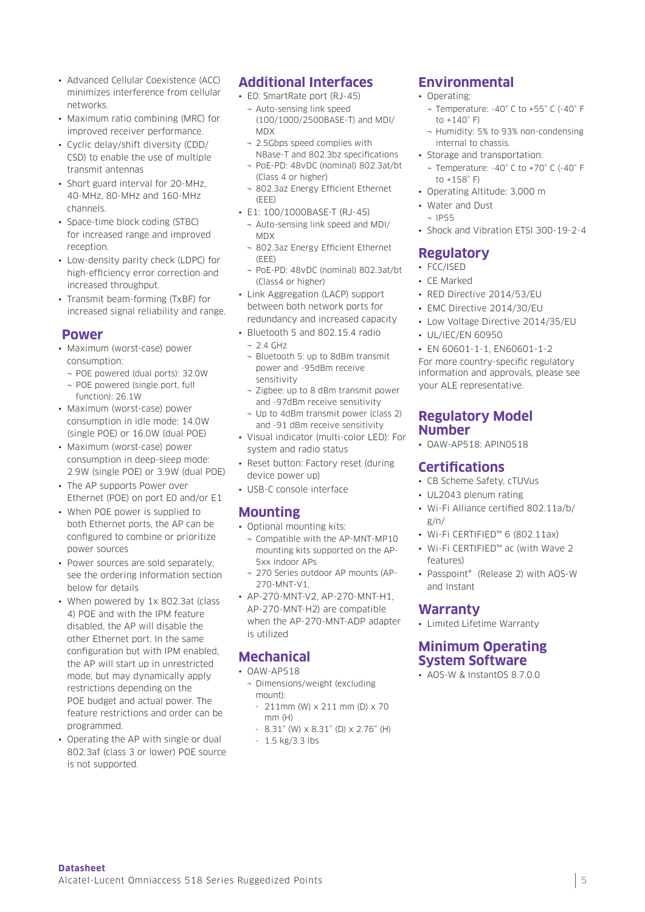- Advanced Cellular Coexistence (ACC) minimizes interference from cellular networks.
- Maximum ratio combining (MRC) for improved receiver performance.
- Cyclic delay/shift diversity (CDD/ CSD) to enable the use of multiple transmit antennas
- Short guard interval for 20-MHz, 40-MHz, 80-MHz and 160-MHz channels.
- Space-time block coding (STBC) for increased range and improved reception.
- Low-density parity check (LDPC) for high-efficiency error correction and increased throughput.
- Transmit beam-forming (TxBF) for increased signal reliability and range.

#### **Power**

- Maximum (worst-case) power consumption:
- ¬ POE powered (dual ports): 32.0W
- ¬ POE powered (single port, full function): 26.1W
- Maximum (worst-case) power consumption in idle mode: 14.0W (single POE) or 16.0W (dual POE)
- Maximum (worst-case) power consumption in deep-sleep mode: 2.9W (single POE) or 3.9W (dual POE)
- The AP supports Power over Ethernet (POE) on port E0 and/or E1
- When POE power is supplied to both Ethernet ports, the AP can be configured to combine or prioritize power sources
- Power sources are sold separately; see the ordering Information section below for details
- When powered by 1x 802.3at (class 4) POE and with the IPM feature disabled, the AP will disable the other Ethernet port. In the same configuration but with IPM enabled, the AP will start up in unrestricted mode, but may dynamically apply restrictions depending on the POE budget and actual power. The feature restrictions and order can be programmed.
- Operating the AP with single or dual 802.3af (class 3 or lower) POE source is not supported.

# **Additional Interfaces**

- E0: SmartRate port (RJ-45)
	- ¬ Auto-sensing link speed (100/1000/2500BASE-T) and MDI/ MDX
	- ¬ 2.5Gbps speed complies with NBase-T and 802.3bz specifications
	- ¬ PoE-PD: 48vDC (nominal) 802.3at/bt (Class 4 or higher)
	- ¬ 802.3az Energy Efficient Ethernet  $(FFF)$
- E1: 100/1000BASE-T (RJ-45)
	- ¬ Auto-sensing link speed and MDI/ **MDX**
	- ¬ 802.3az Energy Efficient Ethernet (EEE)
	- ¬ PoE-PD: 48vDC (nominal) 802.3at/bt (Class4 or higher)
- Link Aggregation (LACP) support between both network ports for redundancy and increased capacity
- Bluetooth 5 and 802.15.4 radio
	- $-21$  GHz
	- ¬ Bluetooth 5: up to 8dBm transmit power and -95dBm receive sensitivity
	- ¬ Zigbee: up to 8 dBm transmit power and -97dBm receive sensitivity
- ¬ Up to 4dBm transmit power (class 2) and -91 dBm receive sensitivity
- Visual indicator (multi-color LED): For system and radio status
- Reset button: Factory reset (during device power up)
- USB-C console interface

# **Mounting**

- Optional mounting kits:
	- ¬ Compatible with the AP-MNT-MP10 mounting kits supported on the AP-5xx indoor APs
	- ¬ 270 Series outdoor AP mounts (AP-270-MNT-V1,
- AP-270-MNT-V2, AP-270-MNT-H1, AP-270-MNT-H2) are compatible when the AP-270-MNT-ADP adapter is utilized

# **Mechanical**

- OAW-AP518
	- ¬ Dimensions/weight (excluding mount):
	- $-211$ mm (W)  $\times 211$  mm (D)  $\times 70$ mm (H)
	- 8.31" (W) x 8.31" (D) x 2.76" (H)
	- 1.5 kg/3.3 lbs

# **Environmental**

- Operating:
	- ¬ Temperature: -40° C to +55° C (-40° F to  $+140^\circ$  F)
	- ¬ Humidity: 5% to 93% non-condensing internal to chassis.
- Storage and transportation:
	- ¬ Temperature: -40° C to +70° C (-40° F to  $+158^\circ$  F)
- Operating Altitude: 3,000 m
- Water and Dust  $-$  ID55
- Shock and Vibration ETSI 300-19-2-4

# **Regulatory**

- FCC/ISED
- CE Marked
- RED Directive 2014/53/EU
- EMC Directive 2014/30/EU
- Low Voltage Directive 2014/35/EU
- UL/IEC/EN 60950

• EN 60601-1-1, EN60601-1-2 For more country-specific regulatory information and approvals, please see your ALE representative.

#### **Regulatory Model Number**

• OAW-AP518: APIN0518

# **Certifications**

- CB Scheme Safety, cTUVus
- UL2043 plenum rating
- Wi-Fi Alliance certified 802.11a/b/ g/n/
- Wi-Fi CERTIFIED™ 6 (802.11ax)
- Wi-Fi CERTIFIED™ ac (with Wave 2 features)
- Passpoint® (Release 2) with AOS-W and Instant

#### **Warranty**

• Limited Lifetime Warranty

## **Minimum Operating System Software**

• AOS-W & InstantOS 8.7.0.0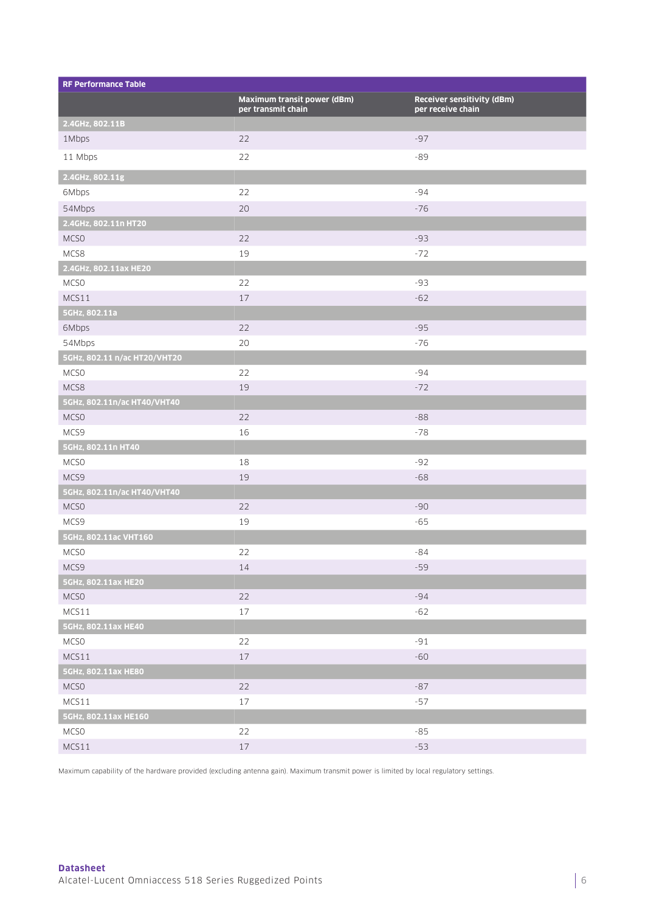| <b>RF Performance Table</b>  |                                                   |                                                 |
|------------------------------|---------------------------------------------------|-------------------------------------------------|
|                              | Maximum transit power (dBm)<br>per transmit chain | Receiver sensitivity (dBm)<br>per receive chain |
| 2.4GHz, 802.11B              |                                                   |                                                 |
| 1Mbps                        | 22                                                | $-97$                                           |
| 11 Mbps                      | 22                                                | $-89$                                           |
| 2.4GHz, 802.11g              |                                                   |                                                 |
| 6Mbps                        | 22                                                | $-94$                                           |
| 54Mbps                       | 20                                                | $-76$                                           |
| 2.4GHz, 802.11n HT20         |                                                   |                                                 |
| MCSO                         | 22                                                | $-93$                                           |
| MCS8                         | 19                                                | $-72$                                           |
| 2.4GHz, 802.11ax HE20        |                                                   |                                                 |
| MCS <sub>0</sub>             | 22                                                | $-93$                                           |
| MCS11                        | $17\,$                                            | $-62$                                           |
| 5GHz, 802.11a                |                                                   |                                                 |
| 6Mbps                        | 22                                                | $-95$                                           |
| 54Mbps                       | 20                                                | $-76$                                           |
| 5GHz, 802.11 n/ac HT20/VHT20 |                                                   |                                                 |
| MCSO                         | 22                                                | -94                                             |
| MCS8                         | 19                                                | $-72$                                           |
| 5GHz, 802.11n/ac HT40/VHT40  |                                                   |                                                 |
| MCSO                         | 22                                                | $-88$                                           |
| MCS9                         | 16                                                | $-78$                                           |
| 5GHz, 802.11n HT40           |                                                   |                                                 |
| MCSO                         | 18                                                | $-92$                                           |
| MCS9                         | 19                                                | $-68$                                           |
| 5GHz, 802.11n/ac HT40/VHT40  |                                                   |                                                 |
| MCS <sub>0</sub>             | 22                                                | -90                                             |
| MCS9                         | 19                                                | $-65$                                           |
| 5GHz, 802.11ac VHT160        |                                                   |                                                 |
| MCSO                         | 22                                                | $-84$                                           |
| MCS9                         | $14\,$                                            | $-59$                                           |
| 5GHz, 802.11ax HE20          |                                                   |                                                 |
| <b>MCSO</b>                  | 22                                                | $-94$                                           |
| MCS11                        | 17                                                | $-62$                                           |
| 5GHz, 802.11ax HE40          |                                                   |                                                 |
| <b>MCSO</b>                  | 22                                                | $-91$                                           |
| MCS11                        | $17\,$                                            | $-60$                                           |
| 5GHz, 802.11ax HE80          |                                                   |                                                 |
| <b>MCSO</b>                  | 22                                                | $-87$                                           |
| MCS11                        | 17                                                | $-57$                                           |
| 5GHz, 802.11ax HE160         |                                                   |                                                 |
| <b>MCSO</b>                  | 22                                                | $-85$                                           |
| MCS11                        | $17\,$                                            | $-53$                                           |

Maximum capability of the hardware provided (excluding antenna gain). Maximum transmit power is limited by local regulatory settings.